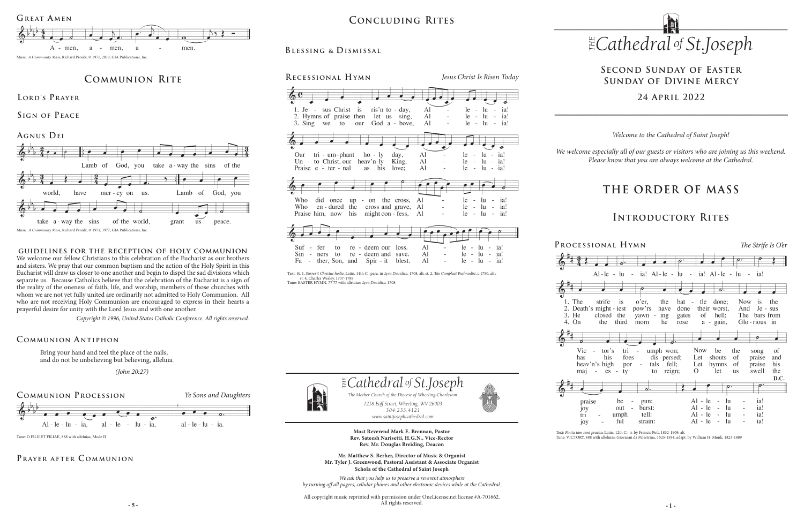# **THE ORDER OF MASS**

## **Introductory Rites**

*1218 Eoff Street, Wheeling, WV 26003 304.233.4121 304.233.4121*

*www.saintjosephcathedral.com*

*www.saintjosephcathedral.com* **Most Reverend Mark E. Brennan, Pastor Rev. Sateesh Narisetti, H.G.N., Vice-Rector Rev. Mr. Douglas Breiding, Deacon**

 *Cathedral St THE of .Joseph*

The Mother Church of the Diocese of Wheeling-Charleston<br>1218 Eoff Street, Wheeling, WV 26003

**- 5 - - 1 -** All copyright music reprinted with permission under OneLicense.net license #A-701662. All rights reserved.



**Mr. Matthew S. Berher, Director of Music & Organist Mr. Tyler J. Greenwood, Pastoral Assistant & Associate Organist Schola of the Cathedral of Saint Joseph**

*1218 Eoff Street, Wheeling, WV 26003 The Mother Church of the Diocese of Wheeling-Charleston*

*We ask that you help us to preserve a reverent atmosphere by turning off all pagers, cellular phones and other electronic devices while at the Cathedral.* *Welcome to the Cathedral of Saint Joseph!*

*We welcome especially all of our guests or visitors who are joining us this weekend. Please know that you are always welcome at the Cathedral.*

**Processional Hymn** *The Strife Is O'er* Al-le -  $\ln$  - ia! Al-le -  $\ln$  $-$  ia! Al - le  $-1u$  $-$  ia  $\overline{\boldsymbol{a}}$ strife  $\overline{1}$ o'er, the hat - tle done: Now is the 2. Death's might - jest have their worst. And Je - sus pow'rs done closed the of hell: The bars from vawn ing gates the third morn he rose a - gain, Glo-rious in tor's  $tri$   $$ umph won; Now be  $\sim$ the song <sub>of</sub> his dis - persed; Let shouts <sub>of</sub> praise and foes heav'n's high tals fell: his por Let hymns <sub>of</sub> praise  $es - ty$ to reign;  $\Omega$ let us swell the D.C.  $\overline{a}$ .  $\overline{\phantom{a}}$  $Al - le$  $-1u$ ia! be gun:  $\sim$  $\sim$ out  $\sim$ burst:  $Al - le - lu$  $\sim$ ia! umph tell:  $Al - le - lu$  $\sim$ ia! ful strain: Al - le - In  $\sim$ ia!

## **Second Sunday of Easter Sunday of Divine Mercy**

## **24 April 2022**

## **Concluding Rites**

## **Communion Rite**

**Lord's Prayer**

**guidelines for the reception of holy communion** We welcome our fellow Christians to this celebration of the Eucharist as our brothers and sisters. We pray that our common baptism and the action of the Holy Spirit in this Eucharist will draw us closer to one another and begin to dispel the sad divisions which separate us. Because Catholics believe that the celebration of the Eucharist is a sign of the reality of the oneness of faith, life, and worship, members of those churches with whom we are not yet fully united are ordinarily not admitted to Holy Communion. All who are not receiving Holy Communion are encouraged to express in their hearts a

prayerful desire for unity with the Lord Jesus and with one another. *Copyright © 1996, United States Catholic Conference. All rights reserved.* 



**Sign of Peace**

## **Blessing & Dismissal**



Bring your hand and feel the place of the nails, and do not be unbelieving but believing, alleluia.

 *(John 20:27)*

### **Communion A ntiphon**



## PRAYER AFTER COMMUNION



Text: St. 1, Surrexit Christus hodie, Latin, 14th C.; para. in *Lyra Davidica,* 1708, alt; st. 2, *The Compleat Psalmodist,* c.1750, alt.;<br>st. 4, Charles Wesley, 1707-1788<br>Tune: EASTER HYMN, 77 77 with alleluias; *Lyra Dav* 





The

3. He

4. On

tri joy

Text: *Finita iam sunt praelia*; Latin, 12th C.; tr. by Francis Pott, 1832-1909, alt.

Tune: O FILII ET FILIAE, 888 with alleluias; Mode II **Rev. Sateesh Narisetti, H.G.N., Vice-Rector** Tune: VICTORY, 888 with alleluias; Giovanni da Palestrina, 1525-1594; adapt. by William H. Monk, 1823-1889